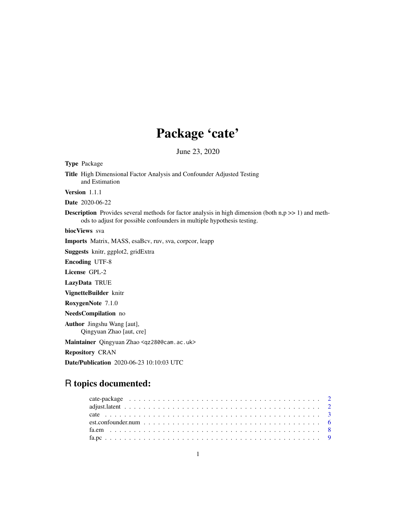# Package 'cate'

June 23, 2020

<span id="page-0-0"></span>Type Package Title High Dimensional Factor Analysis and Confounder Adjusted Testing and Estimation Version 1.1.1 Date 2020-06-22 **Description** Provides several methods for factor analysis in high dimension (both  $n, p \gg 1$ ) and methods to adjust for possible confounders in multiple hypothesis testing. biocViews sva Imports Matrix, MASS, esaBcv, ruv, sva, corpcor, leapp Suggests knitr, ggplot2, gridExtra Encoding UTF-8 License GPL-2 LazyData TRUE VignetteBuilder knitr RoxygenNote 7.1.0 NeedsCompilation no Author Jingshu Wang [aut], Qingyuan Zhao [aut, cre] Maintainer Qingyuan Zhao <qz280@cam.ac.uk> Repository CRAN Date/Publication 2020-06-23 10:10:03 UTC

## R topics documented: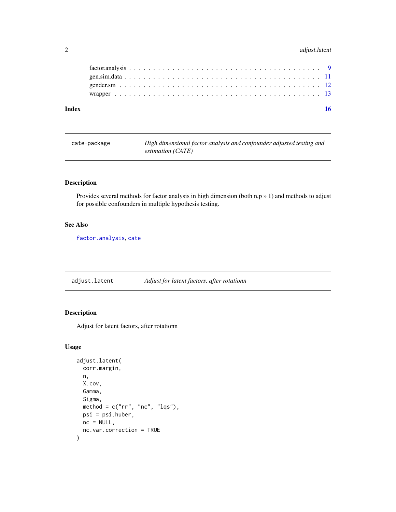#### <span id="page-1-0"></span>2 adjust.latent

| Index |  |
|-------|--|
|       |  |
|       |  |
|       |  |
|       |  |
|       |  |

| cate-package | High dimensional factor analysis and confounder adjusted testing and |
|--------------|----------------------------------------------------------------------|
|              | estimation (CATE)                                                    |

#### Description

Provides several methods for factor analysis in high dimension (both  $n, p \ge 1$ ) and methods to adjust for possible confounders in multiple hypothesis testing.

#### See Also

[factor.analysis](#page-8-1), [cate](#page-2-1)

adjust.latent *Adjust for latent factors, after rotationn*

### Description

Adjust for latent factors, after rotationn

#### Usage

```
adjust.latent(
  corr.margin,
  n,
 X.cov,
  Gamma,
  Sigma,
 method = c("rr", "nc", "lqs"),psi = psi.huber,
 nc = NULL,nc.var.correction = TRUE
\mathcal{E}
```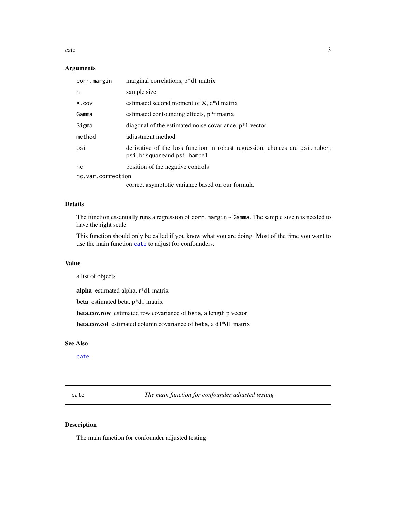<span id="page-2-0"></span>cate 3

#### Arguments

| corr.margin       | marginal correlations, p*d1 matrix                                                                         |
|-------------------|------------------------------------------------------------------------------------------------------------|
| n                 | sample size                                                                                                |
| X.cov             | estimated second moment of $X$ , $d * d$ matrix                                                            |
| Gamma             | estimated confounding effects, $p^*r$ matrix                                                               |
| Sigma             | diagonal of the estimated noise covariance, $p*1$ vector                                                   |
| method            | adjustment method                                                                                          |
| psi               | derivative of the loss function in robust regression, choices are psi.huber,<br>psi.bisquareand psi.hampel |
| nc.               | position of the negative controls                                                                          |
| nc.var.correction |                                                                                                            |
|                   | correct asymptotic variance based on our formula                                                           |

#### Details

The function essentially runs a regression of corr.margin ~ Gamma. The sample size n is needed to have the right scale.

This function should only be called if you know what you are doing. Most of the time you want to use the main function [cate](#page-2-1) to adjust for confounders.

#### Value

a list of objects

alpha estimated alpha, r\*d1 matrix

beta estimated beta, p\*d1 matrix

beta.cov.row estimated row covariance of beta, a length p vector

beta.cov.col estimated column covariance of beta, a d1\*d1 matrix

#### See Also

[cate](#page-2-1)

<span id="page-2-1"></span>cate *The main function for confounder adjusted testing*

#### Description

The main function for confounder adjusted testing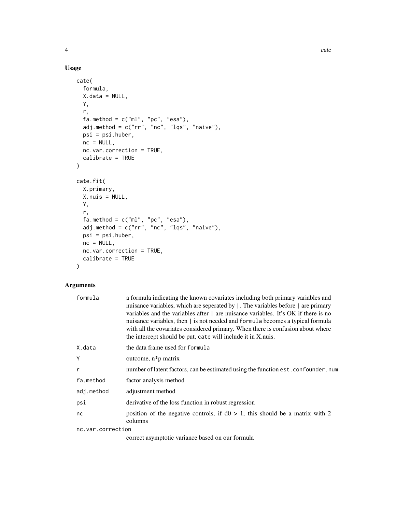#### Usage

```
cate(
  formula,
  X.data = NULL,
  Y,
  r,
  fa.method = c("ml", "pc", "esa"),
  adj.method = c("rr", "nc", "lqs", "naive"),
  psi = psi.huber,
  nc = NULL,nc.var.correction = TRUE,
  calibrate = TRUE
)
cate.fit(
  X.primary,
  X.nuis = NULL,
  Y,
  r,
  fa.method = c("ml", "pc", "esa"),adj.method = c("rr", "nc", "lqs", "naive"),
  psi = psi.huber,
  nc = NULL,nc.var.correction = TRUE,
  calibrate = TRUE
\mathcal{L}
```
#### Arguments

| formula           | a formula indicating the known covariates including both primary variables and<br>nuisance variables, which are seperated by  . The variables before   are primary<br>variables and the variables after   are nuisance variables. It's OK if there is no<br>nuisance variables, then   is not needed and formula becomes a typical formula<br>with all the covariates considered primary. When there is confusion about where<br>the intercept should be put, cate will include it in X.nuis. |
|-------------------|-----------------------------------------------------------------------------------------------------------------------------------------------------------------------------------------------------------------------------------------------------------------------------------------------------------------------------------------------------------------------------------------------------------------------------------------------------------------------------------------------|
| X.data            | the data frame used for formula                                                                                                                                                                                                                                                                                                                                                                                                                                                               |
| Y                 | outcome, $n * p$ matrix                                                                                                                                                                                                                                                                                                                                                                                                                                                                       |
| r                 | number of latent factors, can be estimated using the function est. confounder. num                                                                                                                                                                                                                                                                                                                                                                                                            |
| fa.method         | factor analysis method                                                                                                                                                                                                                                                                                                                                                                                                                                                                        |
| adj.method        | adjustment method                                                                                                                                                                                                                                                                                                                                                                                                                                                                             |
| psi               | derivative of the loss function in robust regression                                                                                                                                                                                                                                                                                                                                                                                                                                          |
| nc                | position of the negative controls, if $d0 > 1$ , this should be a matrix with 2<br>columns                                                                                                                                                                                                                                                                                                                                                                                                    |
| nc.var.correction |                                                                                                                                                                                                                                                                                                                                                                                                                                                                                               |

correct asymptotic variance based on our formula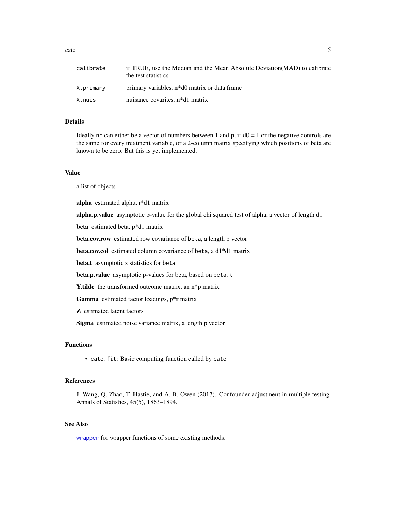<span id="page-4-0"></span>

| calibrate | if TRUE, use the Median and the Mean Absolute Deviation (MAD) to calibrate<br>the test statistics |
|-----------|---------------------------------------------------------------------------------------------------|
| X.primary | primary variables, n <sup>*</sup> d0 matrix or data frame                                         |
| X.nuis    | nuisance covarites, n*d1 matrix                                                                   |

#### Details

Ideally nc can either be a vector of numbers between 1 and p, if  $d0 = 1$  or the negative controls are the same for every treatment variable, or a 2-column matrix specifying which positions of beta are known to be zero. But this is yet implemented.

#### Value

a list of objects

alpha estimated alpha, r\*d1 matrix

alpha.p.value asymptotic p-value for the global chi squared test of alpha, a vector of length d1

beta estimated beta, p\*d1 matrix

beta.cov.row estimated row covariance of beta, a length p vector

beta.cov.col estimated column covariance of beta, a d1\*d1 matrix

beta.t asymptotic z statistics for beta

beta.p.value asymptotic p-values for beta, based on beta.t

Y.tilde the transformed outcome matrix, an n\*p matrix

Gamma estimated factor loadings, p\*r matrix

Z estimated latent factors

Sigma estimated noise variance matrix, a length p vector

#### Functions

• cate.fit: Basic computing function called by cate

#### References

J. Wang, Q. Zhao, T. Hastie, and A. B. Owen (2017). Confounder adjustment in multiple testing. Annals of Statistics, 45(5), 1863–1894.

#### See Also

[wrapper](#page-12-1) for wrapper functions of some existing methods.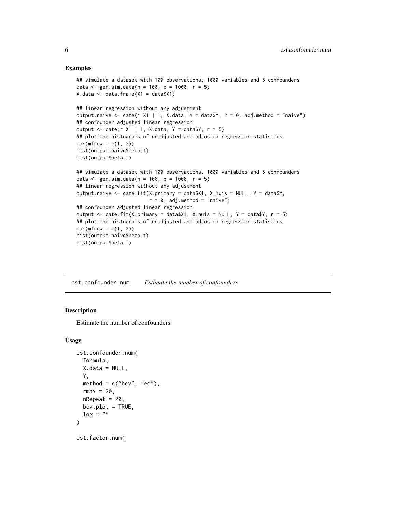#### Examples

```
## simulate a dataset with 100 observations, 1000 variables and 5 confounders
data \le gen.sim.data(n = 100, p = 1000, r = 5)
X.data \leftarrow data-frame(X1 = data $X1)## linear regression without any adjustment
output.naive \le cate(\le X1 | 1, X.data, Y = data$Y, r = 0, adj.method = "naive")
## confounder adjusted linear regression
output \le cate(\le X1 | 1, X.data, Y = data$Y, r = 5)
## plot the histograms of unadjusted and adjusted regression statistics
par(mfrow = c(1, 2))hist(output.naive$beta.t)
hist(output$beta.t)
## simulate a dataset with 100 observations, 1000 variables and 5 confounders
data \le gen.sim.data(n = 100, p = 1000, r = 5)
## linear regression without any adjustment
output.naive \leq cate.fit(X.primary = data$X1, X.nuis = NULL, Y = data$Y,
                         r = 0, adj.method = "naive")
## confounder adjusted linear regression
output \le cate.fit(X.primary = data$X1, X.nuis = NULL, Y = data$Y, r = 5)
## plot the histograms of unadjusted and adjusted regression statistics
par(mfrow = c(1, 2))hist(output.naive$beta.t)
hist(output$beta.t)
```
est.confounder.num *Estimate the number of confounders*

#### **Description**

Estimate the number of confounders

#### Usage

```
est.confounder.num(
  formula,
  X.data = NULL,Y,
  method = c("bcv", "ed"),rmax = 20,
  nRepeat = 20,
 bcv.plot = TRUE,log = "\lambdaest.factor.num(
```
<span id="page-5-0"></span>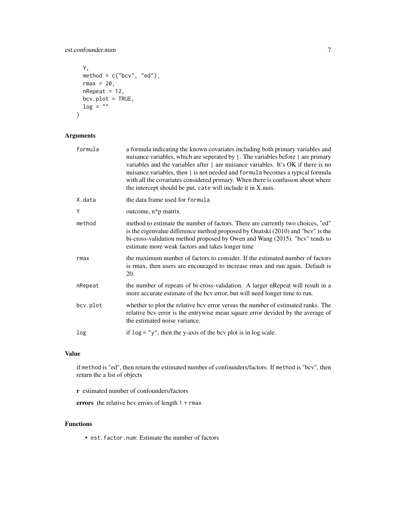#### est.confounder.num 7

```
Y,
 method = c("bcv", "ed"),
 rmax = 20,
 nRepeat = 12,
 bcv.plot = TRUE,
 log = ""\mathcal{L}
```
#### Arguments

| formula  | a formula indicating the known covariates including both primary variables and<br>nuisance variables, which are seperated by  . The variables before   are primary<br>variables and the variables after $\vert$ are nuisance variables. It's OK if there is no<br>nuisance variables, then   is not needed and formula becomes a typical formula<br>with all the covariates considered primary. When there is confusion about where<br>the intercept should be put, cate will include it in X.nuis. |
|----------|-----------------------------------------------------------------------------------------------------------------------------------------------------------------------------------------------------------------------------------------------------------------------------------------------------------------------------------------------------------------------------------------------------------------------------------------------------------------------------------------------------|
| X.data   | the data frame used for formula                                                                                                                                                                                                                                                                                                                                                                                                                                                                     |
| Ý        | outcome, n*p matrix                                                                                                                                                                                                                                                                                                                                                                                                                                                                                 |
| method   | method to estimate the number of factors. There are currently two choices, "ed"<br>is the eigenvalue difference method proposed by Onatski (2010) and "bcv" is the<br>bi-cross-validation method proposed by Owen and Wang (2015). "bcv" tends to<br>estimate more weak factors and takes longer time                                                                                                                                                                                               |
| rmax     | the maximum number of factors to consider. If the estimated number of factors<br>is rmax, then users are encouraged to increase rmax and run again. Default is<br>20.                                                                                                                                                                                                                                                                                                                               |
| nRepeat  | the number of repeats of bi-cross-validation. A larger nRepeat will result in a<br>more accurate estimate of the bcv error, but will need longer time to run.                                                                                                                                                                                                                                                                                                                                       |
| bcv.plot | whether to plot the relative bcv error versus the number of estimated ranks. The<br>relative bcv error is the entrywise mean square error devided by the average of<br>the estimated noise variance.                                                                                                                                                                                                                                                                                                |
| log      | if $\log =$ "y", then the y-axis of the bcv plot is in log scale.                                                                                                                                                                                                                                                                                                                                                                                                                                   |

#### Value

if method is "ed", then return the estimated number of confounders/factors. If method is "bcv", then return the a list of objects

r estimated number of confounders/factors

errors the relative bcv errors of length 1 + rmax

#### Functions

• est.factor.num: Estimate the number of factors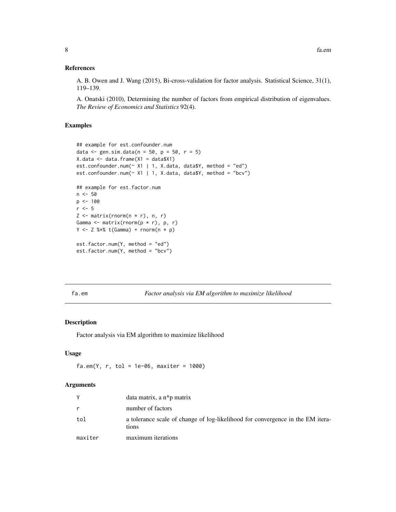#### <span id="page-7-0"></span>References

A. B. Owen and J. Wang (2015), Bi-cross-validation for factor analysis. Statistical Science, 31(1), 119–139.

A. Onatski (2010), Determining the number of factors from empirical distribution of eigenvalues. *The Review of Economics and Statistics* 92(4).

#### Examples

```
## example for est.confounder.num
data \leq gen.sim.data(n = 50, p = 50, r = 5)
X.data <- data.frame(X1 = data$X1)
est.confounder.num(\sim X1 | 1, X.data, data$Y, method = "ed")
est.confounder.num(~ X1 | 1, X.data, data$Y, method = "bcv")
## example for est.factor.num
n <- 50
p \le -100r <- 5Z \leq matrix(rnorm(n * r), n, r)
Gamma <- matrix(rnorm(p * r), p, r)
Y \le -Z %*% t(Gamma) + rnorm(n * p)
est.factor.num(Y, method = "ed")
est.factor.num(Y, method = "bcv")
```
<span id="page-7-1"></span>fa.em *Factor analysis via EM algorithm to maximize likelihood*

#### Description

Factor analysis via EM algorithm to maximize likelihood

#### Usage

fa.em(Y, r, tol = 1e-06, maxiter =  $1000$ )

#### Arguments

| Y            | data matrix, a $n * p$ matrix                                                           |
|--------------|-----------------------------------------------------------------------------------------|
| $\mathsf{r}$ | number of factors                                                                       |
| tol          | a tolerance scale of change of log-likelihood for convergence in the EM itera-<br>tions |
| maxiter      | maximum iterations                                                                      |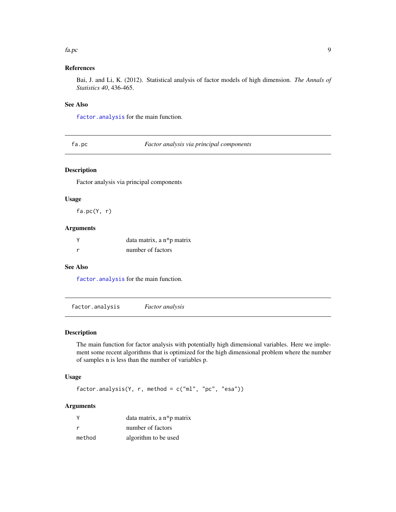#### <span id="page-8-0"></span>fa.pc 9

#### References

Bai, J. and Li, K. (2012). Statistical analysis of factor models of high dimension. *The Annals of Statistics 40*, 436-465.

#### See Also

[factor.analysis](#page-8-1) for the main function.

<span id="page-8-2"></span>fa.pc *Factor analysis via principal components*

#### Description

Factor analysis via principal components

#### Usage

 $fa.pc(Y, r)$ 

#### Arguments

| data matrix, a $n * p$ matrix |
|-------------------------------|
| number of factors             |

#### See Also

[factor.analysis](#page-8-1) for the main function.

<span id="page-8-1"></span>factor.analysis *Factor analysis*

#### Description

The main function for factor analysis with potentially high dimensional variables. Here we implement some recent algorithms that is optimized for the high dimensional problem where the number of samples n is less than the number of variables p.

#### Usage

factor.analysis(Y, r, method = c("ml", "pc", "esa"))

#### Arguments

|        | data matrix, a n*p matrix |
|--------|---------------------------|
|        | number of factors         |
| method | algorithm to be used      |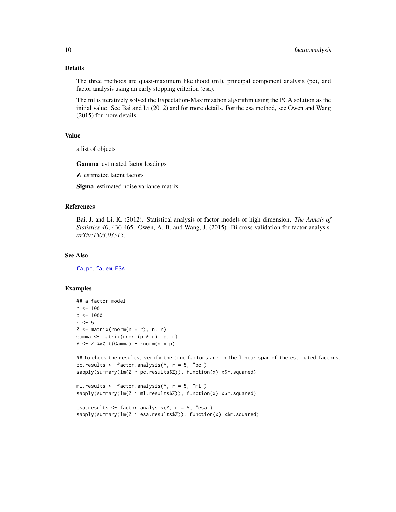#### Details

The three methods are quasi-maximum likelihood (ml), principal component analysis (pc), and factor analysis using an early stopping criterion (esa).

The ml is iteratively solved the Expectation-Maximization algorithm using the PCA solution as the initial value. See Bai and Li (2012) and for more details. For the esa method, see Owen and Wang (2015) for more details.

#### Value

a list of objects

Gamma estimated factor loadings

Z estimated latent factors

Sigma estimated noise variance matrix

#### References

Bai, J. and Li, K. (2012). Statistical analysis of factor models of high dimension. *The Annals of Statistics 40*, 436-465. Owen, A. B. and Wang, J. (2015). Bi-cross-validation for factor analysis. *arXiv:1503.03515*.

#### See Also

[fa.pc](#page-8-2), [fa.em](#page-7-1), [ESA](#page-0-0)

#### Examples

```
## a factor model
n < -100p \le -1000r <- 5Z \leq - matrix(rnorm(n * r), n, r)
Gamma \leq matrix(rnorm(p * r), p, r)
Y \le -Z %*% t(Gamma) + rnorm(n * p)
## to check the results, verify the true factors are in the linear span of the estimated factors.
pc.results <- factor.analysis(Y, r = 5, "pc")
sapply(summary(lm(Z ~ pc.results$Z)), function(x) x$r.squared)
ml.results \leq factor.analysis(Y, r = 5, "ml")
sapply(summary(lm(Z ~ m1. results2)), function(x) x$r.squared)esa.results <- factor.analysis(Y, r = 5, "esa")
sapply(summary(lm(Z ~ esa.results$Z)), function(x) x$r.squared)
```
<span id="page-9-0"></span>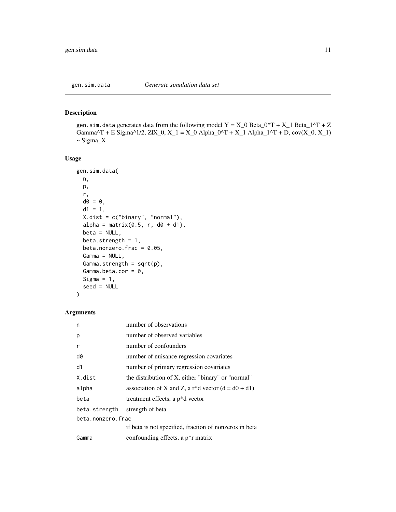<span id="page-10-0"></span>

#### Description

gen.sim.data generates data from the following model  $Y = X_0$  Beta\_0^T + X\_1 Beta\_1^T + Z Gamma^T + E Sigma^1/2, ZIX\_0, X\_1 = X\_0 Alpha\_0^T + X\_1 Alpha\_1^T + D,  $cov(X_0, X_1)$ ~ Sigma\_X

#### Usage

```
gen.sim.data(
 n,
 p,
 r,
 d\theta = \theta,
  d1 = 1,
 X.dist = c("binary", "normal"),
  alpha = matrix(0.5, r, d0 + d1),
 beta = NULL,beta.strength = 1,
  beta.nonzero.frac = 0.05,
  Gamma = NULL,
  Gamma.strength = sqrt(p),
  Gamma.beta.cor = 0,
  Sigma = 1,
  seed = NULL
)
```
#### Arguments

| n                 | number of observations                                            |
|-------------------|-------------------------------------------------------------------|
| p                 | number of observed variables                                      |
| r                 | number of confounders                                             |
| d0                | number of nuisance regression covariates                          |
| d1                | number of primary regression covariates                           |
| X.dist            | the distribution of X, either "binary" or "normal"                |
| alpha             | association of X and Z, a r <sup>*</sup> d vector $(d = d0 + d1)$ |
| beta              | treatment effects, a p <sup>*</sup> d vector                      |
| beta.strength     | strength of beta                                                  |
| beta.nonzero.frac |                                                                   |
|                   | if beta is not specified, fraction of nonzeros in beta            |
| Gamma             | confounding effects, a p <sup>*</sup> r matrix                    |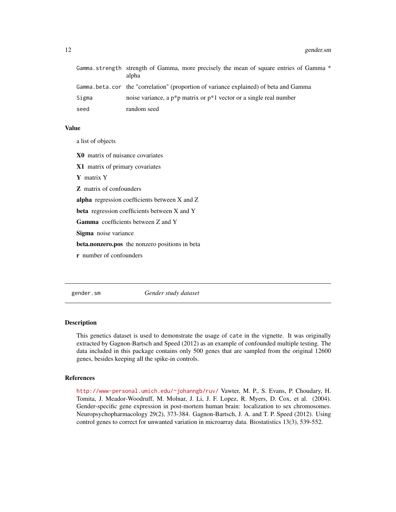<span id="page-11-0"></span>

|       | Gamma strength strength of Gamma, more precisely the mean of square entries of Gamma *<br>alpha |
|-------|-------------------------------------------------------------------------------------------------|
|       | Gamma, beta, cor the "correlation" (proportion of variance explained) of beta and Gamma         |
| Sigma | noise variance, a $p^*p$ matrix or $p^*1$ vector or a single real number                        |
| seed  | random seed                                                                                     |

#### Value

a list of objects

X0 matrix of nuisance covariates

X1 matrix of primary covariates

Y matrix Y

Z matrix of confounders

alpha regression coefficients between X and Z

beta regression coefficients between X and Y

Gamma coefficients between Z and Y

Sigma noise variance

beta.nonzero.pos the nonzero positions in beta

r number of confounders

gender.sm *Gender study dataset*

#### Description

This genetics dataset is used to demonstrate the usage of cate in the vignette. It was originally extracted by Gagnon-Bartsch and Speed (2012) as an example of confounded multiple testing. The data included in this package contains only 500 genes that are sampled from the original 12600 genes, besides keeping all the spike-in controls.

#### References

<http://www-personal.umich.edu/~johanngb/ruv/> Vawter, M. P., S. Evans, P. Choudary, H. Tomita, J. Meador-Woodruff, M. Molnar, J. Li, J. F. Lopez, R. Myers, D. Cox, et al. (2004). Gender-specific gene expression in post-mortem human brain: localization to sex chromosomes. Neuropsychopharmacology 29(2), 373-384. Gagnon-Bartsch, J. A. and T. P. Speed (2012). Using control genes to correct for unwanted variation in microarray data. Biostatistics 13(3), 539-552.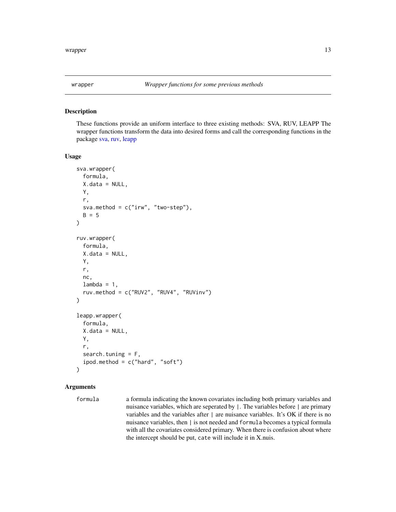<span id="page-12-1"></span><span id="page-12-0"></span>

#### Description

These functions provide an uniform interface to three existing methods: SVA, RUV, LEAPP The wrapper functions transform the data into desired forms and call the corresponding functions in the package [sva,](#page-0-0) [ruv,](#page-0-0) [leapp](#page-0-0)

#### Usage

```
sva.wrapper(
  formula,
 X.data = NULL,Y,
  r,
 sva.method = c("irw", "two-step"),
 B = 5)
ruv.wrapper(
  formula,
 X.data = NULL,Y,
  r,
 nc,
  lambda = 1,
  ruv.method = c("RUV2", "RUV4", "RUVinv")
)
leapp.wrapper(
  formula,
  X.data = NULL,Y,
  r,
  search.tuning = F,
  ipod.method = c("hard", "soft")
)
```
#### Arguments

formula a formula indicating the known covariates including both primary variables and nuisance variables, which are seperated by |. The variables before | are primary variables and the variables after | are nuisance variables. It's OK if there is no nuisance variables, then | is not needed and formula becomes a typical formula with all the covariates considered primary. When there is confusion about where the intercept should be put, cate will include it in X.nuis.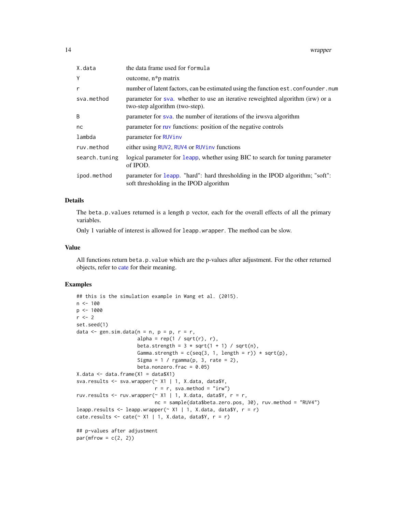<span id="page-13-0"></span>

| X.data        | the data frame used for formula                                                                                          |
|---------------|--------------------------------------------------------------------------------------------------------------------------|
| Υ             | outcome, $n * p$ matrix                                                                                                  |
| r             | number of latent factors, can be estimated using the function est. confounder. num                                       |
| sva.method    | parameter for sya. whether to use an iterative reweighted algorithm (irw) or a<br>two-step algorithm (two-step).         |
| B             | parameter for sva. the number of iterations of the irwsva algorithm                                                      |
| nc            | parameter for ruy functions: position of the negative controls                                                           |
| lambda        | parameter for RUVinv                                                                                                     |
| ruv.method    | either using RUV2, RUV4 or RUViny functions                                                                              |
| search.tuning | logical parameter for leapp, whether using BIC to search for tuning parameter<br>of IPOD.                                |
| ipod.method   | parameter for leapp. "hard": hard thresholding in the IPOD algorithm; "soft":<br>soft thresholding in the IPOD algorithm |

#### Details

The beta.p.values returned is a length p vector, each for the overall effects of all the primary variables.

Only 1 variable of interest is allowed for leapp.wrapper. The method can be slow.

#### Value

All functions return beta.p.value which are the p-values after adjustment. For the other returned objects, refer to [cate](#page-2-1) for their meaning.

#### Examples

```
## this is the simulation example in Wang et al. (2015).
n < - 100p <- 1000
r <- 2
set.seed(1)
data \leq gen.sim.data(n = n, p = p, r = r,
                      alpha = rep(1 / sqrt(r), r),
                      beta.strength = 3 * sqrt(1 + 1) / sqrt(n),
                      Gamma.strength = c(seq(3, 1, length = r)) * sqrt(p),
                      Sigma = 1 / \text{rgamma}(p, 3, rate = 2),
                      beta.nonzero.frac = 0.05)
X.data \leftarrow data.findm (X1 = data $X1)sva.results <- sva.wrapper(~ X1 | 1, X.data, data$Y,
                            r = r, sva.method = "irw")
ruv.results \leq- ruv.wrapper(\sim X1 | 1, X.data, data$Y, r = r,
                            nc = sample(data$beta.zero.pos, 30), ruv.method = "RUV4")
leapp.results <- leapp.wrapper(\sim X1 | 1, X.data, data$Y, r = r)
cate.results \le cate(\le X1 | 1, X.data, data$Y, r = r)
## p-values after adjustment
par(mfrow = c(2, 2))
```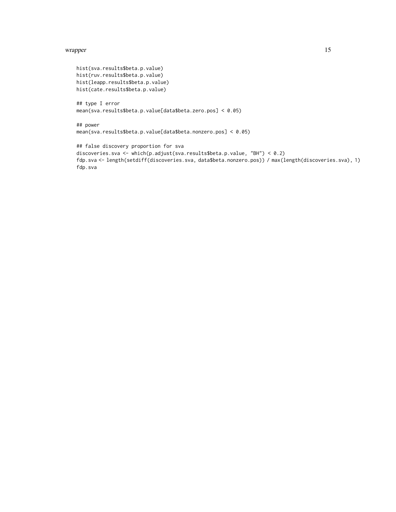#### wrapper and the state of the state of the state of the state of the state of the state of the state of the state of the state of the state of the state of the state of the state of the state of the state of the state of th

```
hist(sva.results$beta.p.value)
hist(ruv.results$beta.p.value)
hist(leapp.results$beta.p.value)
hist(cate.results$beta.p.value)
```

```
## type I error
mean(sva.results$beta.p.value[data$beta.zero.pos] < 0.05)
```

```
## power
mean(sva.results$beta.p.value[data$beta.nonzero.pos] < 0.05)
```

```
## false discovery proportion for sva
discoveries.sva <- which(p.adjust(sva.results$beta.p.value, "BH") < 0.2)
fdp.sva <- length(setdiff(discoveries.sva, data$beta.nonzero.pos)) / max(length(discoveries.sva), 1)
fdp.sva
```